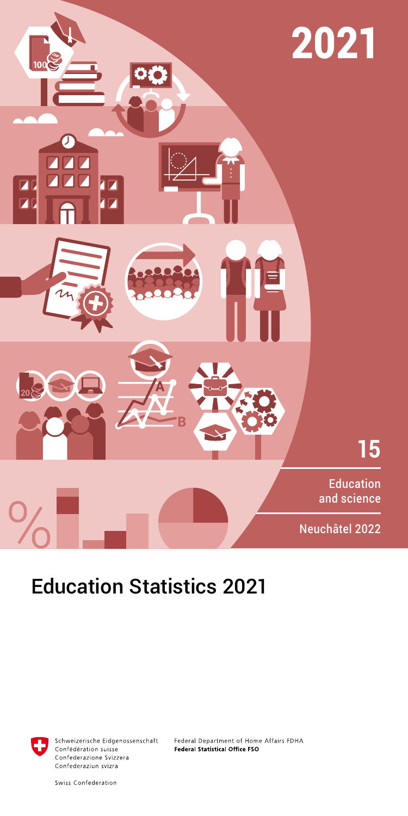

# Education Statistics 2021



Schweizerische Eidgenossenschaft Confédération suisse Confederazione Svizzera Confederaziun svizra

Federal Department of Home Affairs FDHA Federal Statistical Office FSO

Swiss Confederation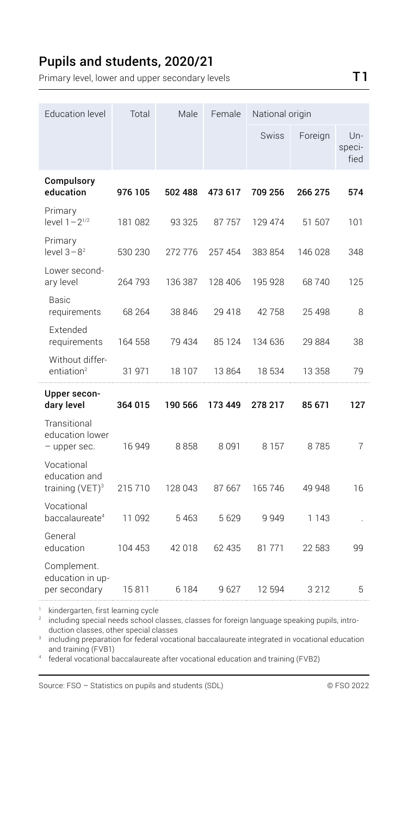#### Pupils and students, 2020/21

Primary level, lower and upper secondary levels T1

| <b>Education level</b>                            | Total<br>Male | Female  | National origin |              |         |                       |
|---------------------------------------------------|---------------|---------|-----------------|--------------|---------|-----------------------|
|                                                   |               |         |                 | <b>Swiss</b> | Foreign | Un-<br>speci-<br>fied |
| Compulsory<br>education                           | 976 105       | 502 488 | 473 617         | 709 256      | 266 275 | 574                   |
| Primary<br>level $1 - 2^{1/2}$                    | 181 082       | 93 325  | 87757           | 129 474      | 51 507  | 101                   |
| Primary<br>level $3 - 8^2$                        | 530 230       | 272 776 | 257 454         | 383 854      | 146 028 | 348                   |
| Lower second-<br>ary level                        | 264793        | 136 387 | 128 406         | 195 928      | 68740   | 125                   |
| <b>Basic</b><br>requirements                      | 68 264        | 38 846  | 29 418          | 42758        | 25 4 98 | 8                     |
| Extended<br>requirements                          | 164 558       | 79 434  | 85 1 24         | 134 636      | 29 884  | 38                    |
| Without differ-<br>entiation <sup>2</sup>         | 31 971        | 18 107  | 13864           | 18 534       | 13 358  | 79                    |
| Upper secon-<br>dary level                        | 364 015       | 190 566 | 173 449         | 278 217      | 85 671  | 127                   |
| Transitional<br>education lower<br>- upper sec.   | 16 949        | 8858    | 8 0 9 1         | 8 1 5 7      | 8785    | $\overline{7}$        |
| Vocational<br>education and<br>training $(VET)^3$ | 215 710       | 128 043 | 87 667          | 165746       | 49 948  | 16                    |
| Vocational<br>baccalaureate <sup>4</sup>          | 11 092        | 5463    | 5629            | 9949         | 1 1 4 3 |                       |
| General<br>education                              | 104 453       | 42 018  | 62 435          | 81771        | 22 583  | qq                    |
| Complement.<br>education in up-<br>per secondary  | 15811         | 6 1 8 4 | 9627            | 12 5 94      | 3 2 1 2 | 5                     |

' kindergarten, first learning cycle<br><sup>2</sup> including special needs school classes, classes for foreign language speaking pupils, introduction classes, other special classes

3 including preparation for federal vocational baccalaureate integrated in vocational education and training (FVB1)

<sup>4</sup> federal vocational baccalaureate after vocational education and training (FVB2)

Source: FSO – Statistics on pupils and students (SDL) © FSO 2022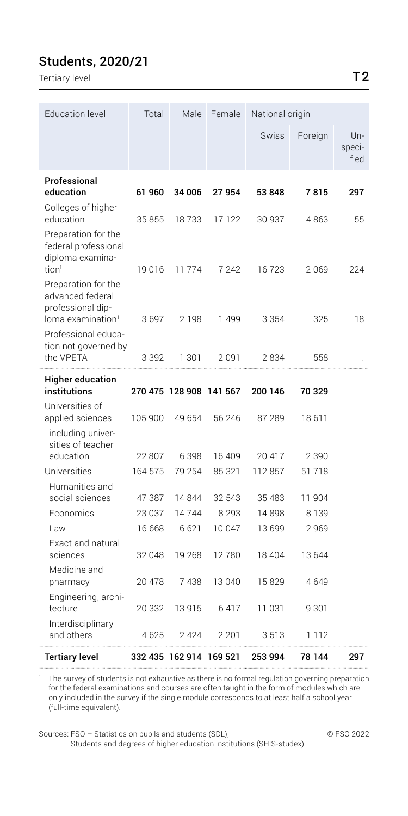## Students, 2020/21

Tertiary level **T2** 

| <b>Education level</b>                                          | Total   | Male                    | Female  | National origin |         |                       |
|-----------------------------------------------------------------|---------|-------------------------|---------|-----------------|---------|-----------------------|
|                                                                 |         |                         |         | <b>Swiss</b>    | Foreign | Un-<br>speci-<br>fied |
| Professional<br>education                                       | 61 960  | 34 006                  | 27954   | 53 848          | 7815    | 297                   |
| Colleges of higher<br>education                                 | 35855   | 18733                   | 17 122  | 30 937          | 4863    | 55                    |
| Preparation for the<br>federal professional<br>diploma examina- |         |                         |         |                 |         |                       |
| tion <sup>1</sup><br>Preparation for the<br>advanced federal    | 19 016  | 11774                   | 7 2 4 2 | 16723           | 2069    | 224                   |
| professional dip-<br>$loma$ examination $l$                     | 3697    | 2 1 9 8                 | 1499    | 3 3 5 4         | 325     | 18                    |
| Professional educa-<br>tion not governed by<br>the VPETA        | 3 3 9 2 | 1 301                   | 2091    | 2834            | 558     |                       |
| Higher education                                                |         |                         |         |                 |         |                       |
| institutions                                                    |         | 270 475 128 908 141 567 |         | 200 146         | 70 329  |                       |
| Universities of<br>applied sciences                             | 105 900 | 49 654                  | 56 246  | 87 289          | 18 611  |                       |
| including univer-<br>sities of teacher                          |         |                         |         |                 |         |                       |
| education                                                       | 22 807  | 6 3 9 8                 | 16 409  | 20 417          | 2 3 9 0 |                       |
| Universities                                                    | 164 575 | 79 254                  | 85 321  | 112857          | 51 718  |                       |
| Humanities and<br>social sciences                               | 47 387  | 14844                   | 32 543  | 35 483          | 11 904  |                       |
| Economics                                                       | 23 037  | 14744                   | 8 2 9 3 | 14898           | 8 1 3 9 |                       |
| l aw                                                            | 16 668  | 6 6 21                  | 10 047  | 13 699          | 2969    |                       |
| Exact and natural<br>sciences                                   | 32 048  | 19 268                  | 12780   | 18 404          | 13 644  |                       |
| Medicine and<br>pharmacy                                        | 20 478  | 7438                    | 13 040  | 15829           | 4649    |                       |
| Engineering, archi-<br>tecture                                  | 20 332  | 13915                   | 6417    | 11 031          | 9 301   |                       |
| Interdisciplinary<br>and others                                 | 4625    | 2424                    | 2 2 0 1 | 3513            | 1 1 1 2 |                       |
| Tertiary level                                                  |         | 332 435 162 914 169 521 |         | 253 994         | 78 144  | 297                   |

1 The survey of students is not exhaustive as there is no formal regulation governing preparation for the federal examinations and courses are often taught in the form of modules which are only included in the survey if the single module corresponds to at least half a school year (full-time equivalent).

Sources: FSO – Statistics on pupils and students (SDL), © FSO 2022 Students and degrees of higher education institutions (SHIS-studex)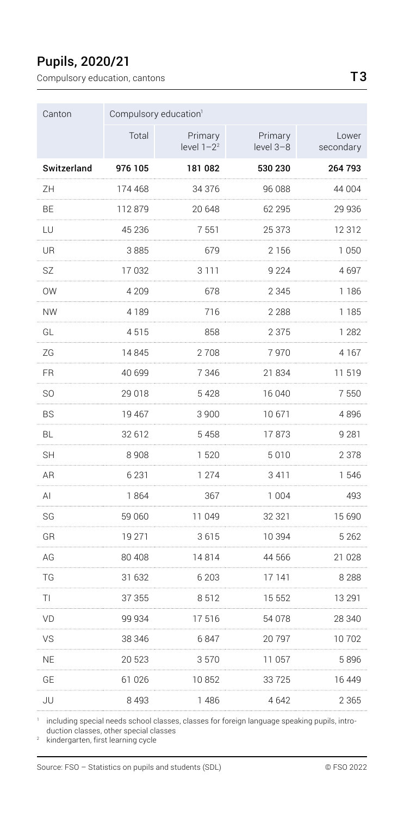## Pupils, 2020/21

Compulsory education, cantons T3

| Canton              | Compulsory education <sup>1</sup> |                          |                      |                    |
|---------------------|-----------------------------------|--------------------------|----------------------|--------------------|
|                     | Total                             | Primary<br>level $1-2^2$ | Primary<br>level 3-8 | Lower<br>secondary |
| Switzerland         | 976 105                           | 181082                   | 530 230              | 264 793            |
| ZΗ<br>.             | 174 468                           | 34 376                   | 96 088               | 44 004             |
| BE                  | 112 879                           | 20 648                   | 62 295               | 29 936<br>.        |
| LU<br>.             | 45 236                            | 7 551                    | 25 373               | 12 312<br>.        |
| UR<br>.             | 3 885<br>.                        | 679                      | 2 156<br>.           | 1 050<br>.         |
| <b>SZ</b><br>.      | 17032                             | 3 1 1 1                  | 9 2 2 4              | 4697               |
| <b>OW</b><br>.      | 4 209                             | 678                      | 2 3 4 5              | 1 186<br>.         |
| <b>NW</b><br>.      | 4 1 8 9                           | 716                      | 2 2 8 8              | 1 1 8 5            |
| GL<br>.             | 4515                              | 858                      | 2 3 7 5              | 1 2 8 2<br>.       |
| ZG<br>.             | 14845                             | 2708                     | 7970                 | 4 1 6 7            |
| FR<br>.             | 40.699                            | 7 3 4 6                  | 21834                | 11 519             |
| S <sub>O</sub><br>. | 29018                             | 5428                     | 16 040               | 7 550              |
| <b>BS</b><br>.      | 19 467                            | 3900                     | 10671                | 4896               |
| <b>BL</b><br>.      | 32 612<br>.                       | 5458<br>.                | 17873                | 9 2 8 1            |
| <b>SH</b><br>.      | 8908                              | 1520<br>                 | 5010                 | 2 3 7 8            |
| AR<br>.             | 6 2 3 1<br>.                      | 1 274<br>.               | 3411                 | 1546<br>.          |
| AI<br>.             | 1864                              | 367                      | 1004                 | 493                |
| SG<br>.             | 59 060                            | 11 049                   | 32321                | 15 690             |
| GR<br>.             | 19 271                            | 3615                     | 10 394               | 5 2 6 2<br>.       |
| AG<br>.             | 80 40 8                           | 14814                    | 44 566               | 21 028<br>         |
| TG<br>.             | 31 632                            | 6 203                    | 17 141               | 8 2 8 8<br>.       |
| TΙ<br>.             | 37 355                            | 8512                     | 15 552               | 13 291<br>.        |
| VD<br>.             | 99 934                            | 17516                    | 54 078               | 28 340             |
| VS<br>.             | 38 346<br>.                       | 6847<br>.                | 20797                | 10702<br>.         |
| <b>NE</b>           | 20 523                            | 3570                     | 11 057               | 5896               |
| GE<br>.             | 61026                             | 10852                    | 33725                | 16 449             |
| JU                  | 8 4 9 3                           | 1486                     | 4642                 | 2 3 6 5            |

1 including special needs school classes, classes for foreign language speaking pupils, introduction classes, other special classes

<sup>2</sup> kindergarten, first learning cycle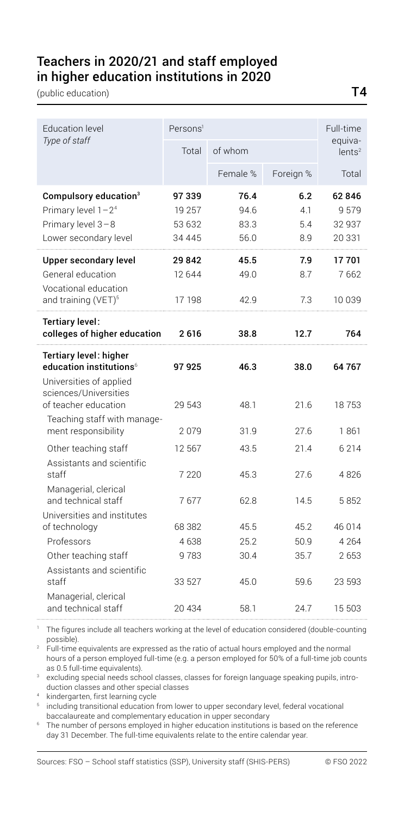#### Teachers in 2020/21 and staff employed in higher education institutions in 2020

(public education) T4

| <b>Education level</b>                                                                                                                                                          | Persons <sup>1</sup>                  |                              |                          | Full-time                         |
|---------------------------------------------------------------------------------------------------------------------------------------------------------------------------------|---------------------------------------|------------------------------|--------------------------|-----------------------------------|
| Type of staff                                                                                                                                                                   | Total                                 | of whom                      |                          | equiva-<br>lents <sup>2</sup>     |
|                                                                                                                                                                                 |                                       | Female %                     | Foreign %                | Total                             |
| Compulsory education <sup>3</sup><br>Primary level 1-2 <sup>4</sup><br>Primary level 3-8<br>Lower secondary level                                                               | 97339<br>19 257<br>53 632<br>34 4 4 5 | 76.4<br>94.6<br>83.3<br>56.0 | 6.2<br>4.1<br>5.4<br>8.9 | 62846<br>9579<br>32 937<br>20 331 |
| Upper secondary level<br>General education<br>Vocational education<br>and training (VET) <sup>5</sup>                                                                           | 29 842<br>12 644<br>17 198            | 45.5<br>49.0<br>42.9         | 7.9<br>8.7<br>7.3        | 17701<br>7662<br>10 039           |
| Tertiary level:<br>colleges of higher education                                                                                                                                 | 2616                                  | 38.8                         | 12.7                     | 764                               |
| <b>Tertiary level: higher</b><br>education institutions <sup>6</sup><br>Universities of applied<br>sciences/Universities<br>of teacher education<br>Teaching staff with manage- | 97 925<br>29 543                      | 46.3<br>48.1                 | 38.0<br>21.6             | 64 767<br>18753                   |
| ment responsibility<br>Other teaching staff<br>Assistants and scientific                                                                                                        | 2079<br>12 5 6 7                      | 31.9<br>43.5                 | 27.6<br>21.4             | 1861<br>6 2 1 4                   |
| staff<br>Managerial, clerical<br>and technical staff                                                                                                                            | 7 2 2 0<br>7677                       | 45.3<br>62.8                 | 27.6<br>14.5             | 4826<br>5852                      |
| Universities and institutes<br>of technology<br>Professors                                                                                                                      | 68 382<br>4638                        | 45.5<br>25.2                 | 45.2<br>50.9             | 46 0 14<br>4 2 6 4                |
| Other teaching staff<br>Assistants and scientific<br>staff                                                                                                                      | 9783<br>33 527                        | 30.4<br>45.0                 | 35.7<br>59.6             | 2653<br>23 593                    |
| Managerial, clerical<br>and technical staff                                                                                                                                     | 20 434                                | 58.1                         | 24.7                     | 15 503                            |

<sup>1</sup> The figures include all teachers working at the level of education considered (double-counting

possible). 2 Full-time equivalents are expressed as the ratio of actual hours employed and the normal hours of a person employed full-time (e.g. a person employed for 50% of a full-time job counts as 0.5 full-time equivalents).

 $\,^\mathrm{s}\,$  excluding special needs school classes, classes for foreign language speaking pupils, introduction classes and other special classes

kindergarten, first learning cycle

including transitional education from lower to upper secondary level, federal vocational baccalaureate and complementary education in upper secondary

6 The number of persons employed in higher education institutions is based on the reference day 31 December. The full-time equivalents relate to the entire calendar year.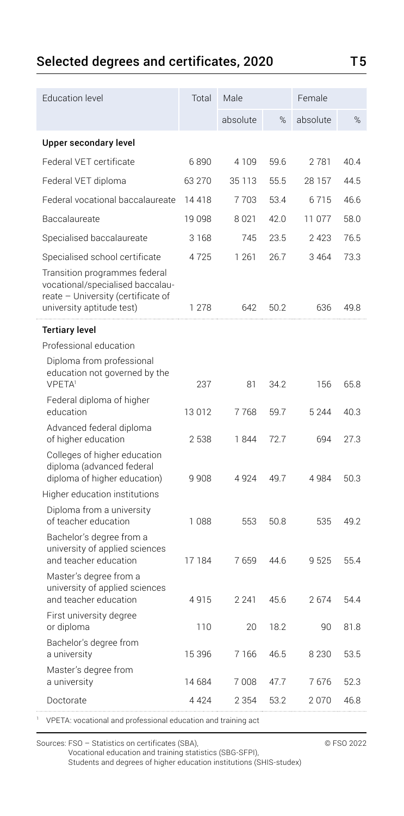# Selected degrees and certificates, 2020 T5

| <b>Education level</b>                                                                                                               | Total   | Male     |      | Female   |      |
|--------------------------------------------------------------------------------------------------------------------------------------|---------|----------|------|----------|------|
|                                                                                                                                      |         | absolute | %    | absolute | %    |
| Upper secondary level                                                                                                                |         |          |      |          |      |
| Federal VET certificate                                                                                                              | 6890    | 4109     | 59.6 | 2781     | 40.4 |
| Federal VET diploma                                                                                                                  | 63 270  | 35 113   | 55.5 | 28 157   | 44.5 |
| Federal vocational baccalaureate                                                                                                     | 14418   | 7703     | 53.4 | 6715     | 46.6 |
| Baccalaureate                                                                                                                        | 19 098  | 8021     | 42.0 | 11 077   | 58.0 |
| Specialised baccalaureate                                                                                                            | 3 1 6 8 | 745      | 23.5 | 2 4 2 3  | 76.5 |
| Specialised school certificate                                                                                                       | 4725    | 1 2 6 1  | 26.7 | 3 4 6 4  | 73.3 |
| Transition programmes federal<br>vocational/specialised baccalau-<br>reate - University (certificate of<br>university aptitude test) | 1 278   | 642      | 50.2 | 636      | 49.8 |
| <b>Tertiary level</b>                                                                                                                |         |          |      |          |      |
| Professional education                                                                                                               |         |          |      |          |      |
| Diploma from professional<br>education not governed by the<br><b>VPFTA</b>                                                           | 237     | 81       | 34.2 | 156      | 65.8 |
| Federal diploma of higher<br>education                                                                                               | 13012   | 7768     | 59.7 | 5 2 4 4  | 40.3 |
| Advanced federal diploma<br>of higher education                                                                                      | 2538    | 1844     | 72.7 | 694      | 27.3 |
| Colleges of higher education<br>diploma (advanced federal<br>diploma of higher education)                                            | 9908    | 4924     | 49.7 | 4 9 8 4  | 50.3 |
| Higher education institutions                                                                                                        |         |          |      |          |      |
| Diploma from a university<br>of teacher education                                                                                    | 1088    | 553      | 50.8 | 535      | 49.2 |
| Bachelor's degree from a<br>university of applied sciences<br>and teacher education                                                  | 17 184  | 7659     | 44.6 | 9525     | 55.4 |
| Master's degree from a<br>university of applied sciences<br>and teacher education                                                    | 4915    | 2 2 4 1  | 45.6 | 2674     | 54.4 |
| First university degree<br>or diploma                                                                                                | 110     | 20       | 18.2 | 90       | 81.8 |
| Bachelor's degree from<br>a university                                                                                               | 15 396  | 7166     | 46.5 | 8 2 3 0  | 53.5 |
| Master's degree from<br>a university                                                                                                 | 14 684  | 7008     | 47.7 | 7676     | 52.3 |
| Doctorate                                                                                                                            | 4 4 2 4 | 2 3 5 4  | 53.2 | 2070     | 46.8 |
|                                                                                                                                      |         |          |      |          |      |

1 VPETA: vocational and professional education and training act

Sources: FSO – Statistics on certificates (SBA),  $\degree$  FSO 2022

Vocational education and training statistics (SBG-SFPI),

Students and degrees of higher education institutions (SHIS-studex)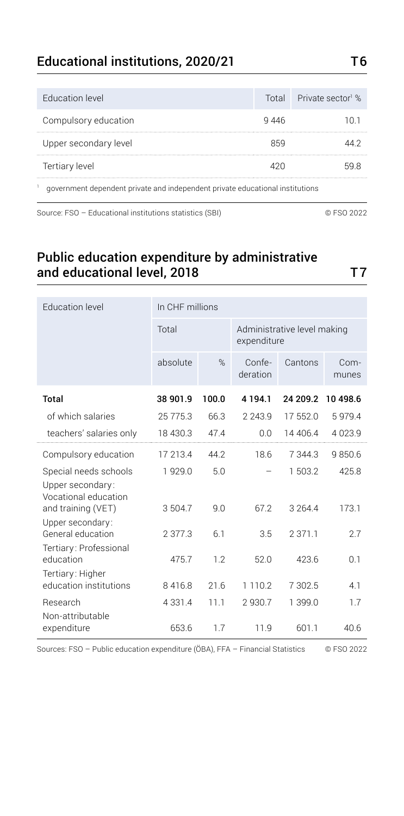#### Educational institutions, 2020/21 T6

| Education level       |      | Total Private sector <sup>1</sup> % |
|-----------------------|------|-------------------------------------|
| Compulsory education  | 9446 | ו חו                                |
| Upper secondary level | 859  | 44 V                                |
| Tertiary level        | 42በ  | 59.8                                |
|                       |      |                                     |

1 government dependent private and independent private educational institutions

Source: FSO – Educational institutions statistics (SBI) © FSO 2022

Public education expenditure by administrative and educational level, 2018 T7

| <b>Education level</b>                                            | In CHF millions |       |                    |                                            |               |  |  |
|-------------------------------------------------------------------|-----------------|-------|--------------------|--------------------------------------------|---------------|--|--|
|                                                                   | Total           |       |                    | Administrative level making<br>expenditure |               |  |  |
|                                                                   | absolute        | %     | Confe-<br>deration | Cantons                                    | Com-<br>munes |  |  |
| Total                                                             | 38 901.9        | 100.0 | 4 1 9 4 1          | 24 209.2                                   | 10 498.6      |  |  |
| of which salaries                                                 | 25775.3         | 66.3  | 2243.9             | 17 552.0                                   | 5979.4        |  |  |
| teachers' salaries only                                           | 18 430.3        | 47.4  | 0.0                | 14 40 6.4                                  | 4023.9        |  |  |
| Compulsory education                                              | 17 213.4        | 442   | 18.6               | 7 344.3                                    | 9850.6        |  |  |
| Special needs schools<br>Upper secondary:<br>Vocational education | 1929.0          | 5.0   |                    | 1503.2                                     | 425.8         |  |  |
| and training (VET)<br>Upper secondary:                            | 3 504.7         | 9.0   | 67.2               | 3 2 6 4 4                                  | 173.1         |  |  |
| General education<br>Tertiary: Professional                       | 23773           | 6.1   | 3.5                | 2 371.1                                    | 2.7           |  |  |
| education                                                         | 475.7           | 1.2   | 52.0               | 423.6                                      | 0.1           |  |  |
| Tertiary: Higher<br>education institutions                        | 8416.8          | 21.6  | 1 1 1 0 . 2        | 7 302.5                                    | 4.1           |  |  |
| Research                                                          | 4 3 3 1 . 4     | 11.1  | 2930.7             | 1 399.0                                    | 1.7           |  |  |
| Non-attributable<br>expenditure                                   | 653.6           | 1.7   | 11.9               | 601.1                                      | 40.6          |  |  |

Sources: FSO – Public education expenditure (ÖBA), FFA – Financial Statistics © FSO 2022